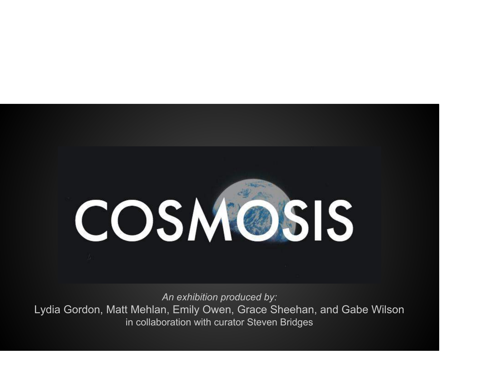# COSMOSIS

An exhibition produced by: Lydia Gordon, Matt Mehlan, Emily Owen, Grace Sheehan, and Gabe Wilson in collaboration with curator Steven Bridges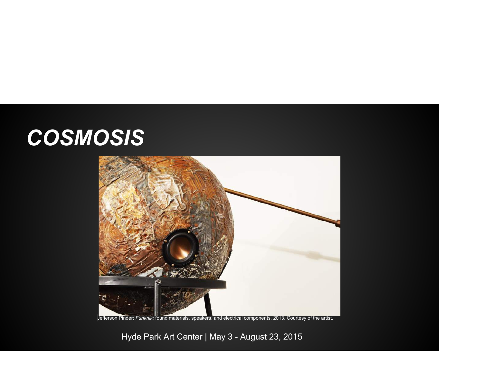#### **COSMOSIS**



Jefferson Pinder; Funknik; found materials, speakers, and electrical components, 2013. Courtesy of the artist.

Hyde Park Art Center | May 3 - August 23, 2015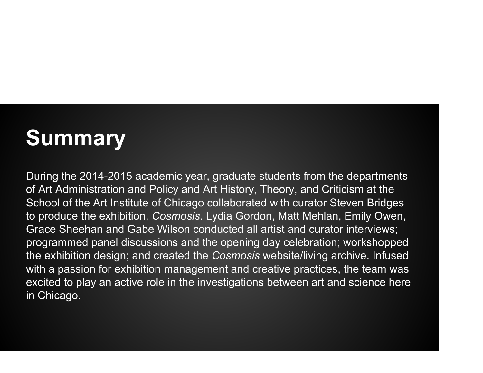# **Summary**

During the 2014-2015 academic year, graduate students from the departments of Art Administration and Policy and Art History, Theory, and Criticism at the School of the Art Institute of Chicago collaborated with curator Steven Bridges to produce the exhibition, Cosmosis. Lydia Gordon, Matt Mehlan, Emily Owen, Grace Sheehan and Gabe Wilson conducted all artist and curator interviews; programmed panel discussions and the opening day celebration; workshopped the exhibition design; and created the Cosmosis website/living archive. Infused with a passion for exhibition management and creative practices, the team was excited to play an active role in the investigations between art and science here in Chicago.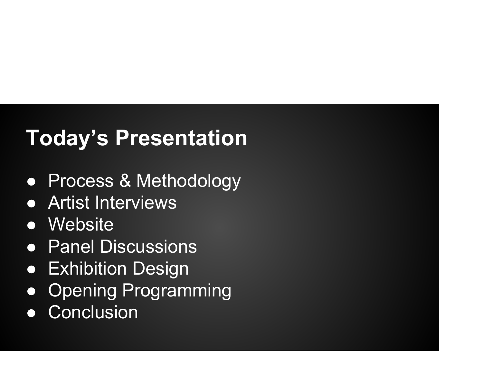## Today's Presentation

- Process & Methodology
- Artist Interviews
- Website
- Panel Discussions
- **Exhibition Design**
- Opening Programming
- Conclusion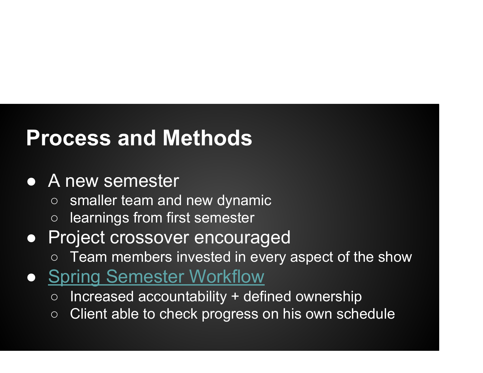#### Process and Methods

#### • A new semester

- smaller team and new dynamic
- learnings from first semester

#### ● Project crossover encouraged

- Team members invested in every aspect of the show
- Spring Semester Workflow
	- Increased accountability + defined ownership
	- Client able to check progress on his own schedule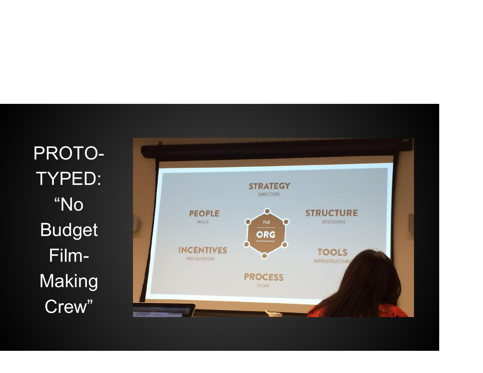PROTO-TYPED: "No Budget Film-**Making** Crew"

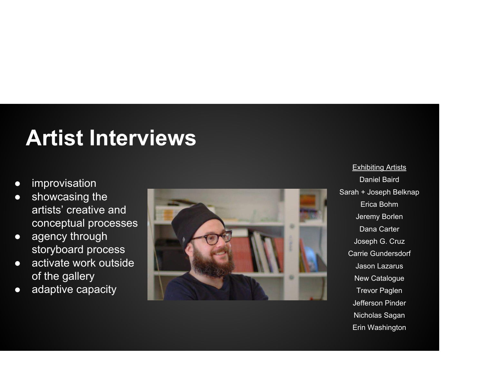## Artist Interviews

- **•** improvisation
- showcasing the artists' creative and conceptual processes
- agency through storyboard process
- activate work outside of the gallery
- adaptive capacity



**Exhibiting Artists** Daniel Baird Sarah + Joseph Belknap Erica Bohm Jeremy Borlen Dana Carter Joseph G. Cruz Carrie Gundersdorf Jason Lazarus New Catalogue Trevor Paglen Jefferson Pinder Nicholas Sagan Erin Washington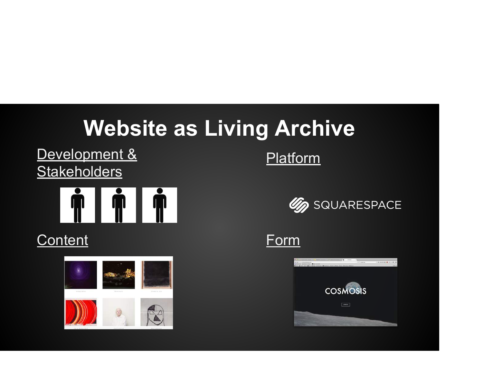## Website as Living Archive

Development & Platform **Stakeholders** 



#### Content Form





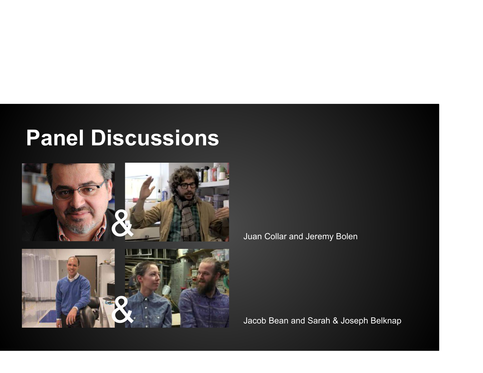#### Panel Discussions





Juan Collar and Jeremy Bolen

Jacob Bean and Sarah & Joseph Belknap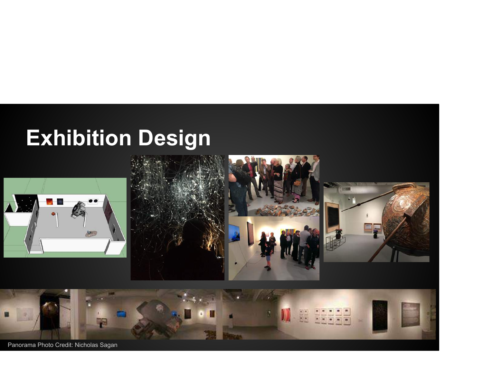# Exhibition Design



Panorama Photo Credit: Nicholas Sagan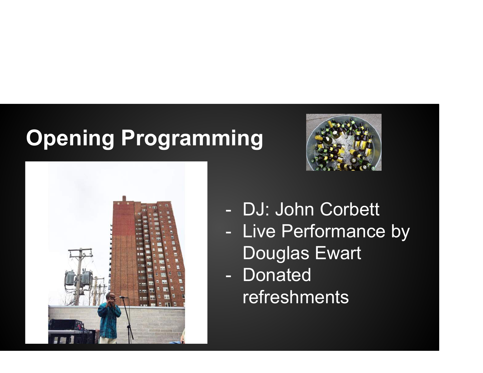#### Opening Programming





- DJ: John Corbett - Live Performance by Douglas Ewart
- Donated refreshments